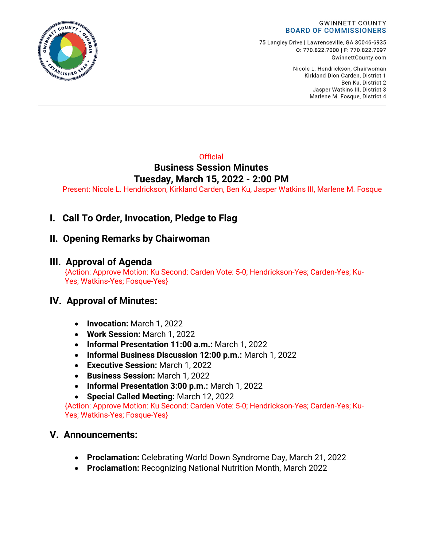

#### **GWINNETT COUNTY BOARD OF COMMISSIONERS**

75 Langley Drive | Lawrenceville, GA 30046-6935 0:770.822.7000 | F: 770.822.7097 GwinnettCounty.com

> Nicole L. Hendrickson, Chairwoman Kirkland Dion Carden, District 1 Ben Ku. District 2 Jasper Watkins III, District 3 Marlene M. Fosque, District 4

# **Official Business Session Minutes Tuesday, March 15, 2022 - 2:00 PM**

Present: Nicole L. Hendrickson, Kirkland Carden, Ben Ku, Jasper Watkins III, Marlene M. Fosque

**I. Call To Order, Invocation, Pledge to Flag**

# **II. Opening Remarks by Chairwoman**

# **III. Approval of Agenda**

{Action: Approve Motion: Ku Second: Carden Vote: 5-0; Hendrickson-Yes; Carden-Yes; Ku-Yes; Watkins-Yes; Fosque-Yes}

# **IV. Approval of Minutes:**

- **Invocation:** March 1, 2022
- **Work Session:** March 1, 2022
- **Informal Presentation 11:00 a.m.:** March 1, 2022
- **Informal Business Discussion 12:00 p.m.:** March 1, 2022
- **Executive Session:** March 1, 2022
- **Business Session:** March 1, 2022
- **Informal Presentation 3:00 p.m.:** March 1, 2022
- **Special Called Meeting:** March 12, 2022

{Action: Approve Motion: Ku Second: Carden Vote: 5-0; Hendrickson-Yes; Carden-Yes; Ku-Yes; Watkins-Yes; Fosque-Yes}

# **V. Announcements:**

- **Proclamation:** Celebrating World Down Syndrome Day, March 21, 2022
- **Proclamation:** Recognizing National Nutrition Month, March 2022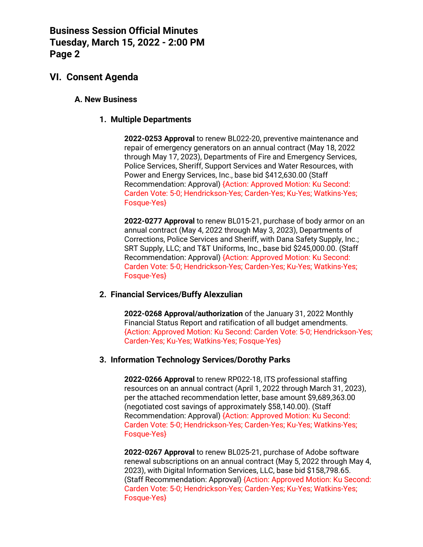# **VI. Consent Agenda**

### **A. New Business**

### **1. Multiple Departments**

**2022-0253 Approval** to renew BL022-20, preventive maintenance and repair of emergency generators on an annual contract (May 18, 2022 through May 17, 2023), Departments of Fire and Emergency Services, Police Services, Sheriff, Support Services and Water Resources, with Power and Energy Services, Inc., base bid \$412,630.00 (Staff Recommendation: Approval) {Action: Approved Motion: Ku Second: Carden Vote: 5-0; Hendrickson-Yes; Carden-Yes; Ku-Yes; Watkins-Yes; Fosque-Yes}

**2022-0277 Approval** to renew BL015-21, purchase of body armor on an annual contract (May 4, 2022 through May 3, 2023), Departments of Corrections, Police Services and Sheriff, with Dana Safety Supply, Inc.; SRT Supply, LLC; and T&T Uniforms, Inc., base bid \$245,000.00. (Staff Recommendation: Approval) {Action: Approved Motion: Ku Second: Carden Vote: 5-0; Hendrickson-Yes; Carden-Yes; Ku-Yes; Watkins-Yes; Fosque-Yes}

#### **2. Financial Services/Buffy Alexzulian**

**2022-0268 Approval/authorization** of the January 31, 2022 Monthly Financial Status Report and ratification of all budget amendments. {Action: Approved Motion: Ku Second: Carden Vote: 5-0; Hendrickson-Yes; Carden-Yes; Ku-Yes; Watkins-Yes; Fosque-Yes}

#### **3. Information Technology Services/Dorothy Parks**

**2022-0266 Approval** to renew RP022-18, ITS professional staffing resources on an annual contract (April 1, 2022 through March 31, 2023), per the attached recommendation letter, base amount \$9,689,363.00 (negotiated cost savings of approximately \$58,140.00). (Staff Recommendation: Approval) {Action: Approved Motion: Ku Second: Carden Vote: 5-0; Hendrickson-Yes; Carden-Yes; Ku-Yes; Watkins-Yes; Fosque-Yes}

**2022-0267 Approval** to renew BL025-21, purchase of Adobe software renewal subscriptions on an annual contract (May 5, 2022 through May 4, 2023), with Digital Information Services, LLC, base bid \$158,798.65. (Staff Recommendation: Approval) {Action: Approved Motion: Ku Second: Carden Vote: 5-0; Hendrickson-Yes; Carden-Yes; Ku-Yes; Watkins-Yes; Fosque-Yes}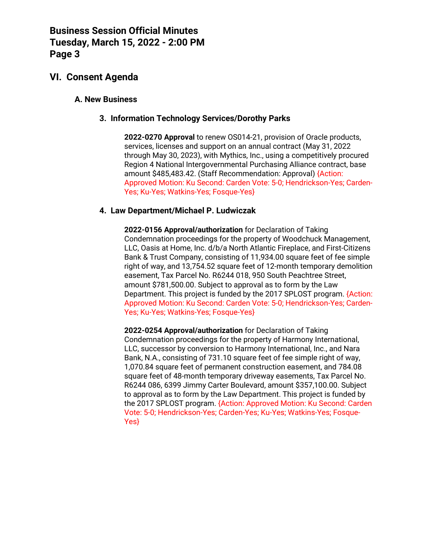# **VI. Consent Agenda**

## **A. New Business**

### **3. Information Technology Services/Dorothy Parks**

**2022-0270 Approval** to renew OS014-21, provision of Oracle products, services, licenses and support on an annual contract (May 31, 2022 through May 30, 2023), with Mythics, Inc., using a competitively procured Region 4 National Intergovernmental Purchasing Alliance contract, base amount \$485,483.42. (Staff Recommendation: Approval) {Action: Approved Motion: Ku Second: Carden Vote: 5-0; Hendrickson-Yes; Carden-Yes; Ku-Yes; Watkins-Yes; Fosque-Yes}

### **4. Law Department/Michael P. Ludwiczak**

**2022-0156 Approval/authorization** for Declaration of Taking Condemnation proceedings for the property of Woodchuck Management, LLC, Oasis at Home, Inc. d/b/a North Atlantic Fireplace, and First-Citizens Bank & Trust Company, consisting of 11,934.00 square feet of fee simple right of way, and 13,754.52 square feet of 12-month temporary demolition easement, Tax Parcel No. R6244 018, 950 South Peachtree Street, amount \$781,500.00. Subject to approval as to form by the Law Department. This project is funded by the 2017 SPLOST program. {Action: Approved Motion: Ku Second: Carden Vote: 5-0; Hendrickson-Yes; Carden-Yes; Ku-Yes; Watkins-Yes; Fosque-Yes}

**2022-0254 Approval/authorization** for Declaration of Taking Condemnation proceedings for the property of Harmony International, LLC, successor by conversion to Harmony International, Inc., and Nara Bank, N.A., consisting of 731.10 square feet of fee simple right of way, 1,070.84 square feet of permanent construction easement, and 784.08 square feet of 48-month temporary driveway easements, Tax Parcel No. R6244 086, 6399 Jimmy Carter Boulevard, amount \$357,100.00. Subject to approval as to form by the Law Department. This project is funded by the 2017 SPLOST program. {Action: Approved Motion: Ku Second: Carden Vote: 5-0; Hendrickson-Yes; Carden-Yes; Ku-Yes; Watkins-Yes; Fosque-Yes}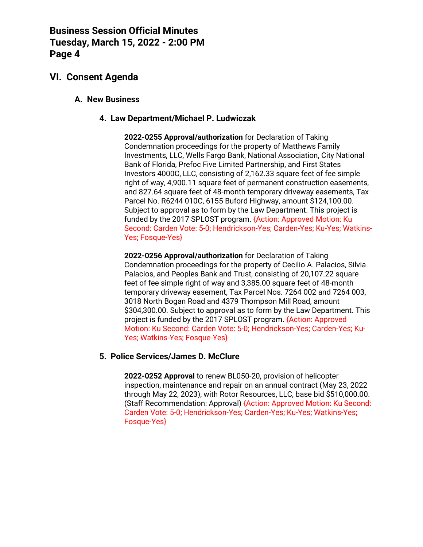# **VI. Consent Agenda**

### **A. New Business**

### **4. Law Department/Michael P. Ludwiczak**

**2022-0255 Approval/authorization** for Declaration of Taking Condemnation proceedings for the property of Matthews Family Investments, LLC, Wells Fargo Bank, National Association, City National Bank of Florida, Prefoc Five Limited Partnership, and First States Investors 4000C, LLC, consisting of 2,162.33 square feet of fee simple right of way, 4,900.11 square feet of permanent construction easements, and 827.64 square feet of 48-month temporary driveway easements, Tax Parcel No. R6244 010C, 6155 Buford Highway, amount \$124,100.00. Subject to approval as to form by the Law Department. This project is funded by the 2017 SPLOST program. {Action: Approved Motion: Ku Second: Carden Vote: 5-0; Hendrickson-Yes; Carden-Yes; Ku-Yes; Watkins-Yes; Fosque-Yes}

**2022-0256 Approval/authorization** for Declaration of Taking Condemnation proceedings for the property of Cecilio A. Palacios, Silvia Palacios, and Peoples Bank and Trust, consisting of 20,107.22 square feet of fee simple right of way and 3,385.00 square feet of 48-month temporary driveway easement, Tax Parcel Nos. 7264 002 and 7264 003, 3018 North Bogan Road and 4379 Thompson Mill Road, amount \$304,300.00. Subject to approval as to form by the Law Department. This project is funded by the 2017 SPLOST program. {Action: Approved Motion: Ku Second: Carden Vote: 5-0; Hendrickson-Yes; Carden-Yes; Ku-Yes; Watkins-Yes; Fosque-Yes}

#### **5. Police Services/James D. McClure**

**2022-0252 Approval** to renew BL050-20, provision of helicopter inspection, maintenance and repair on an annual contract (May 23, 2022 through May 22, 2023), with Rotor Resources, LLC, base bid \$510,000.00. (Staff Recommendation: Approval) {Action: Approved Motion: Ku Second: Carden Vote: 5-0; Hendrickson-Yes; Carden-Yes; Ku-Yes; Watkins-Yes; Fosque-Yes}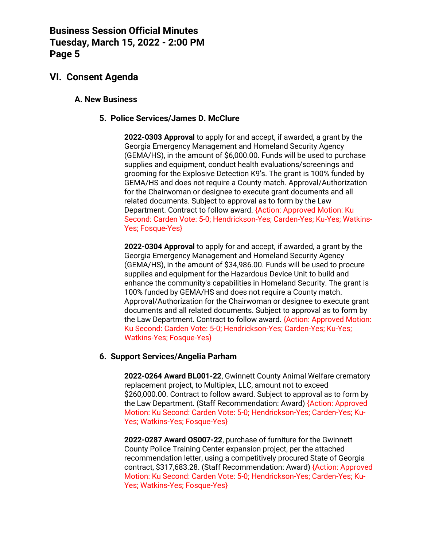# **VI. Consent Agenda**

## **A. New Business**

## **5. Police Services/James D. McClure**

**2022-0303 Approval** to apply for and accept, if awarded, a grant by the Georgia Emergency Management and Homeland Security Agency (GEMA/HS), in the amount of \$6,000.00. Funds will be used to purchase supplies and equipment, conduct health evaluations/screenings and grooming for the Explosive Detection K9's. The grant is 100% funded by GEMA/HS and does not require a County match. Approval/Authorization for the Chairwoman or designee to execute grant documents and all related documents. Subject to approval as to form by the Law Department. Contract to follow award. {Action: Approved Motion: Ku Second: Carden Vote: 5-0; Hendrickson-Yes; Carden-Yes; Ku-Yes; Watkins-Yes; Fosque-Yes}

**2022-0304 Approval** to apply for and accept, if awarded, a grant by the Georgia Emergency Management and Homeland Security Agency (GEMA/HS), in the amount of \$34,986.00. Funds will be used to procure supplies and equipment for the Hazardous Device Unit to build and enhance the community's capabilities in Homeland Security. The grant is 100% funded by GEMA/HS and does not require a County match. Approval/Authorization for the Chairwoman or designee to execute grant documents and all related documents. Subject to approval as to form by the Law Department. Contract to follow award. {Action: Approved Motion: Ku Second: Carden Vote: 5-0; Hendrickson-Yes; Carden-Yes; Ku-Yes; Watkins-Yes; Fosque-Yes}

### **6. Support Services/Angelia Parham**

**2022-0264 Award BL001-22**, Gwinnett County Animal Welfare crematory replacement project, to Multiplex, LLC, amount not to exceed \$260,000.00. Contract to follow award. Subject to approval as to form by the Law Department. (Staff Recommendation: Award) {Action: Approved Motion: Ku Second: Carden Vote: 5-0; Hendrickson-Yes; Carden-Yes; Ku-Yes; Watkins-Yes; Fosque-Yes}

**2022-0287 Award OS007-22**, purchase of furniture for the Gwinnett County Police Training Center expansion project, per the attached recommendation letter, using a competitively procured State of Georgia contract, \$317,683.28. (Staff Recommendation: Award) {Action: Approved Motion: Ku Second: Carden Vote: 5-0; Hendrickson-Yes; Carden-Yes; Ku-Yes; Watkins-Yes; Fosque-Yes}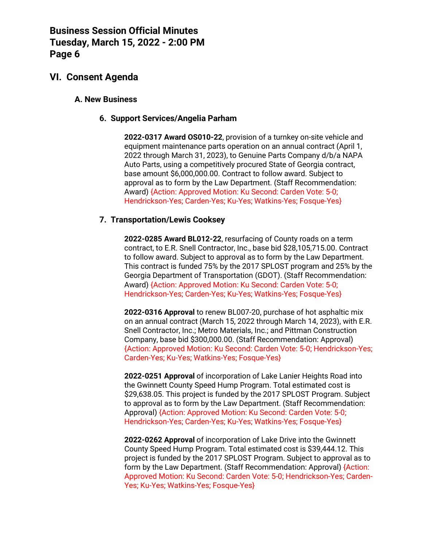# **VI. Consent Agenda**

### **A. New Business**

### **6. Support Services/Angelia Parham**

**2022-0317 Award OS010-22**, provision of a turnkey on-site vehicle and equipment maintenance parts operation on an annual contract (April 1, 2022 through March 31, 2023), to Genuine Parts Company d/b/a NAPA Auto Parts, using a competitively procured State of Georgia contract, base amount \$6,000,000.00. Contract to follow award. Subject to approval as to form by the Law Department. (Staff Recommendation: Award) {Action: Approved Motion: Ku Second: Carden Vote: 5-0; Hendrickson-Yes; Carden-Yes; Ku-Yes; Watkins-Yes; Fosque-Yes}

### **7. Transportation/Lewis Cooksey**

**2022-0285 Award BL012-22**, resurfacing of County roads on a term contract, to E.R. Snell Contractor, Inc., base bid \$28,105,715.00. Contract to follow award. Subject to approval as to form by the Law Department. This contract is funded 75% by the 2017 SPLOST program and 25% by the Georgia Department of Transportation (GDOT). (Staff Recommendation: Award) {Action: Approved Motion: Ku Second: Carden Vote: 5-0; Hendrickson-Yes; Carden-Yes; Ku-Yes; Watkins-Yes; Fosque-Yes}

**2022-0316 Approval** to renew BL007-20, purchase of hot asphaltic mix on an annual contract (March 15, 2022 through March 14, 2023), with E.R. Snell Contractor, Inc.; Metro Materials, Inc.; and Pittman Construction Company, base bid \$300,000.00. (Staff Recommendation: Approval) {Action: Approved Motion: Ku Second: Carden Vote: 5-0; Hendrickson-Yes; Carden-Yes; Ku-Yes; Watkins-Yes; Fosque-Yes}

**2022-0251 Approval** of incorporation of Lake Lanier Heights Road into the Gwinnett County Speed Hump Program. Total estimated cost is \$29,638.05. This project is funded by the 2017 SPLOST Program. Subject to approval as to form by the Law Department. (Staff Recommendation: Approval) {Action: Approved Motion: Ku Second: Carden Vote: 5-0; Hendrickson-Yes; Carden-Yes; Ku-Yes; Watkins-Yes; Fosque-Yes}

**2022-0262 Approval** of incorporation of Lake Drive into the Gwinnett County Speed Hump Program. Total estimated cost is \$39,444.12. This project is funded by the 2017 SPLOST Program. Subject to approval as to form by the Law Department. (Staff Recommendation: Approval) {Action: Approved Motion: Ku Second: Carden Vote: 5-0; Hendrickson-Yes; Carden-Yes; Ku-Yes; Watkins-Yes; Fosque-Yes}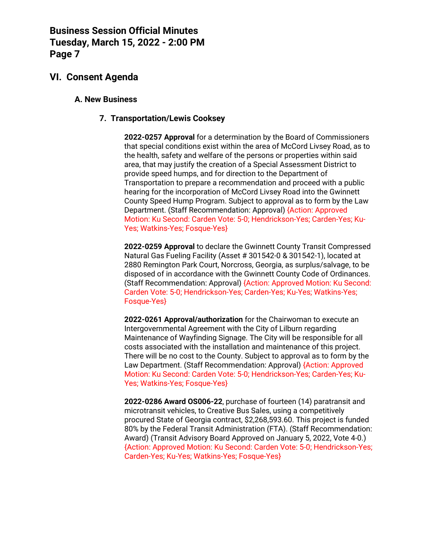# **VI. Consent Agenda**

## **A. New Business**

## **7. Transportation/Lewis Cooksey**

**2022-0257 Approval** for a determination by the Board of Commissioners that special conditions exist within the area of McCord Livsey Road, as to the health, safety and welfare of the persons or properties within said area, that may justify the creation of a Special Assessment District to provide speed humps, and for direction to the Department of Transportation to prepare a recommendation and proceed with a public hearing for the incorporation of McCord Livsey Road into the Gwinnett County Speed Hump Program. Subject to approval as to form by the Law Department. (Staff Recommendation: Approval) {Action: Approved Motion: Ku Second: Carden Vote: 5-0; Hendrickson-Yes; Carden-Yes; Ku-Yes; Watkins-Yes; Fosque-Yes}

**2022-0259 Approval** to declare the Gwinnett County Transit Compressed Natural Gas Fueling Facility (Asset # 301542-0 & 301542-1), located at 2880 Remington Park Court, Norcross, Georgia, as surplus/salvage, to be disposed of in accordance with the Gwinnett County Code of Ordinances. (Staff Recommendation: Approval) {Action: Approved Motion: Ku Second: Carden Vote: 5-0; Hendrickson-Yes; Carden-Yes; Ku-Yes; Watkins-Yes; Fosque-Yes}

**2022-0261 Approval/authorization** for the Chairwoman to execute an Intergovernmental Agreement with the City of Lilburn regarding Maintenance of Wayfinding Signage. The City will be responsible for all costs associated with the installation and maintenance of this project. There will be no cost to the County. Subject to approval as to form by the Law Department. (Staff Recommendation: Approval) {Action: Approved Motion: Ku Second: Carden Vote: 5-0; Hendrickson-Yes; Carden-Yes; Ku-Yes; Watkins-Yes; Fosque-Yes}

**2022-0286 Award OS006-22**, purchase of fourteen (14) paratransit and microtransit vehicles, to Creative Bus Sales, using a competitively procured State of Georgia contract, \$2,268,593.60. This project is funded 80% by the Federal Transit Administration (FTA). (Staff Recommendation: Award) (Transit Advisory Board Approved on January 5, 2022, Vote 4-0.) {Action: Approved Motion: Ku Second: Carden Vote: 5-0; Hendrickson-Yes; Carden-Yes; Ku-Yes; Watkins-Yes; Fosque-Yes}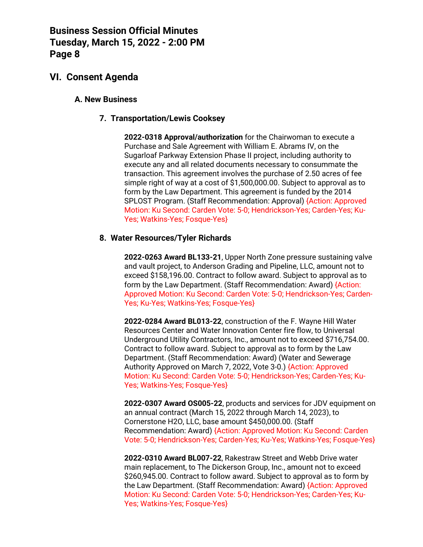# **VI. Consent Agenda**

### **A. New Business**

### **7. Transportation/Lewis Cooksey**

**2022-0318 Approval/authorization** for the Chairwoman to execute a Purchase and Sale Agreement with William E. Abrams IV, on the Sugarloaf Parkway Extension Phase II project, including authority to execute any and all related documents necessary to consummate the transaction. This agreement involves the purchase of 2.50 acres of fee simple right of way at a cost of \$1,500,000.00. Subject to approval as to form by the Law Department. This agreement is funded by the 2014 SPLOST Program. (Staff Recommendation: Approval) {Action: Approved Motion: Ku Second: Carden Vote: 5-0; Hendrickson-Yes; Carden-Yes; Ku-Yes; Watkins-Yes; Fosque-Yes}

### **8. Water Resources/Tyler Richards**

**2022-0263 Award BL133-21**, Upper North Zone pressure sustaining valve and vault project, to Anderson Grading and Pipeline, LLC, amount not to exceed \$158,196.00. Contract to follow award. Subject to approval as to form by the Law Department. (Staff Recommendation: Award) {Action: Approved Motion: Ku Second: Carden Vote: 5-0; Hendrickson-Yes; Carden-Yes; Ku-Yes; Watkins-Yes; Fosque-Yes}

**2022-0284 Award BL013-22**, construction of the F. Wayne Hill Water Resources Center and Water Innovation Center fire flow, to Universal Underground Utility Contractors, Inc., amount not to exceed \$716,754.00. Contract to follow award. Subject to approval as to form by the Law Department. (Staff Recommendation: Award) (Water and Sewerage Authority Approved on March 7, 2022, Vote 3-0.) {Action: Approved Motion: Ku Second: Carden Vote: 5-0; Hendrickson-Yes; Carden-Yes; Ku-Yes; Watkins-Yes; Fosque-Yes}

**2022-0307 Award OS005-22**, products and services for JDV equipment on an annual contract (March 15, 2022 through March 14, 2023), to Cornerstone H2O, LLC, base amount \$450,000.00. (Staff Recommendation: Award) {Action: Approved Motion: Ku Second: Carden Vote: 5-0; Hendrickson-Yes; Carden-Yes; Ku-Yes; Watkins-Yes; Fosque-Yes}

**2022-0310 Award BL007-22**, Rakestraw Street and Webb Drive water main replacement, to The Dickerson Group, Inc., amount not to exceed \$260,945.00. Contract to follow award. Subject to approval as to form by the Law Department. (Staff Recommendation: Award) {Action: Approved Motion: Ku Second: Carden Vote: 5-0; Hendrickson-Yes; Carden-Yes; Ku-Yes; Watkins-Yes; Fosque-Yes}